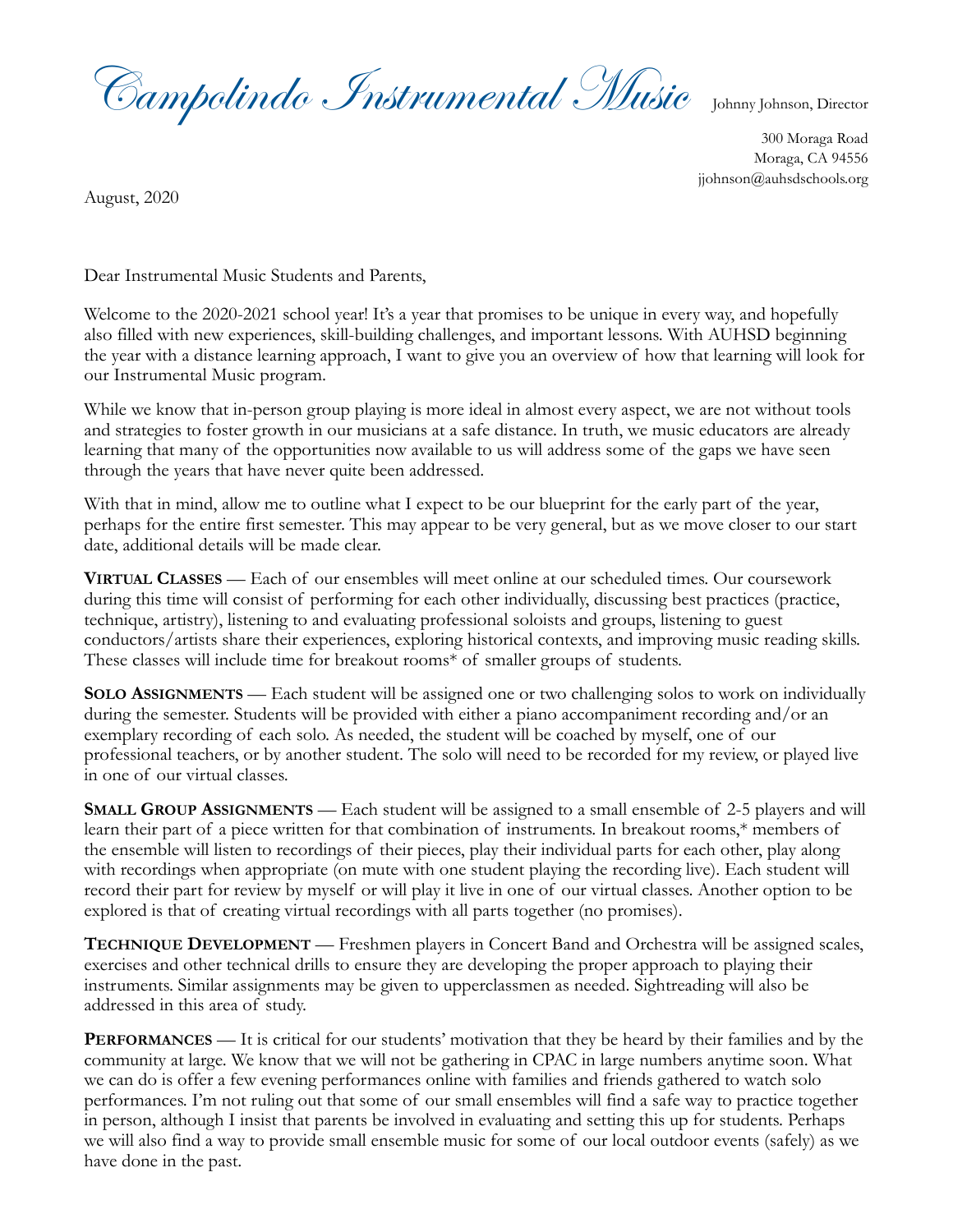Campolindo Instrumental Music Johnny Johnson, Director

300 Moraga Road Moraga, CA 94556 [jjohnson@auhsdschools.org](mailto:jjohnson@auhsdschools.org?subject=question%20from%20Welcome%20Letter)

August, 2020

Dear Instrumental Music Students and Parents,

Welcome to the 2020-2021 school year! It's a year that promises to be unique in every way, and hopefully also filled with new experiences, skill-building challenges, and important lessons. With AUHSD beginning the year with a distance learning approach, I want to give you an overview of how that learning will look for our Instrumental Music program.

While we know that in-person group playing is more ideal in almost every aspect, we are not without tools and strategies to foster growth in our musicians at a safe distance. In truth, we music educators are already learning that many of the opportunities now available to us will address some of the gaps we have seen through the years that have never quite been addressed.

With that in mind, allow me to outline what I expect to be our blueprint for the early part of the year, perhaps for the entire first semester. This may appear to be very general, but as we move closer to our start date, additional details will be made clear.

**VIRTUAL CLASSES** — Each of our ensembles will meet online at our scheduled times. Our coursework during this time will consist of performing for each other individually, discussing best practices (practice, technique, artistry), listening to and evaluating professional soloists and groups, listening to guest conductors/artists share their experiences, exploring historical contexts, and improving music reading skills. These classes will include time for breakout rooms\* of smaller groups of students.

**SOLO ASSIGNMENTS** — Each student will be assigned one or two challenging solos to work on individually during the semester. Students will be provided with either a piano accompaniment recording and/or an exemplary recording of each solo. As needed, the student will be coached by myself, one of our professional teachers, or by another student. The solo will need to be recorded for my review, or played live in one of our virtual classes.

**SMALL GROUP ASSIGNMENTS** — Each student will be assigned to a small ensemble of 2-5 players and will learn their part of a piece written for that combination of instruments. In breakout rooms,\* members of the ensemble will listen to recordings of their pieces, play their individual parts for each other, play along with recordings when appropriate (on mute with one student playing the recording live). Each student will record their part for review by myself or will play it live in one of our virtual classes. Another option to be explored is that of creating virtual recordings with all parts together (no promises).

**TECHNIQUE DEVELOPMENT** — Freshmen players in Concert Band and Orchestra will be assigned scales, exercises and other technical drills to ensure they are developing the proper approach to playing their instruments. Similar assignments may be given to upperclassmen as needed. Sightreading will also be addressed in this area of study.

**PERFORMANCES** — It is critical for our students' motivation that they be heard by their families and by the community at large. We know that we will not be gathering in CPAC in large numbers anytime soon. What we can do is offer a few evening performances online with families and friends gathered to watch solo performances. I'm not ruling out that some of our small ensembles will find a safe way to practice together in person, although I insist that parents be involved in evaluating and setting this up for students. Perhaps we will also find a way to provide small ensemble music for some of our local outdoor events (safely) as we have done in the past.